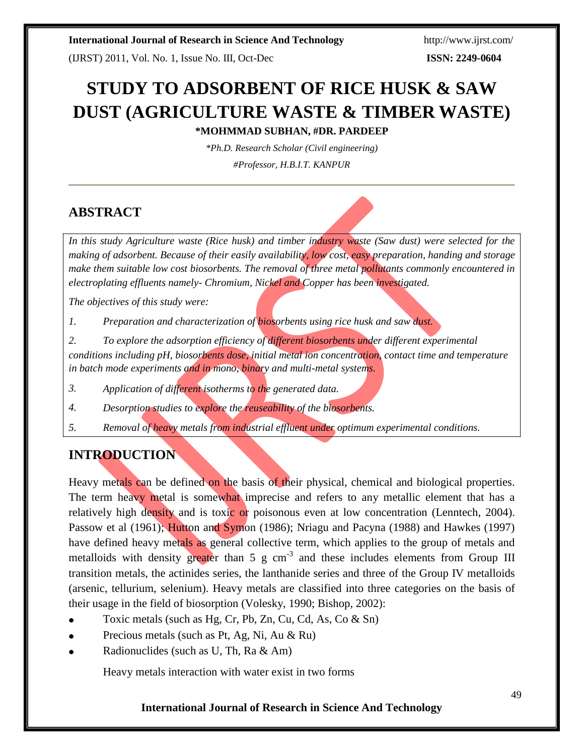(IJRST) 2011, Vol. No. 1, Issue No. III, Oct-Dec **ISSN: 2249-0604**

# **STUDY TO ADSORBENT OF RICE HUSK & SAW DUST (AGRICULTURE WASTE & TIMBER WASTE) \*MOHMMAD SUBHAN, #DR. PARDEEP**

*\*Ph.D. Research Scholar (Civil engineering)* 

*#Professor, H.B.I.T. KANPUR*

## **ABSTRACT**

*In this study Agriculture waste (Rice husk) and timber industry waste (Saw dust) were selected for the making of adsorbent. Because of their easily availability, low cost, easy preparation, handing and storage make them suitable low cost biosorbents. The removal of three metal pollutants commonly encountered in electroplating effluents namely- Chromium, Nickel and Copper has been investigated.*

*The objectives of this study were:*

*Preparation and characterization of biosorbents using rice husk and saw dust. 1.*

*conditions including pH, biosorbents dose, initial metal ion concentration, contact time and temperature in batch mode experiments and in mono, binary and multi-metal systems. To explore the adsorption efficiency of different biosorbents under different experimental 2.*

*Application of different isotherms to the generated data. 3.*

*Desorption studies to explore the reuseability of the biosorbents. 4.*

*Removal of heavy metals from industrial effluent under optimum experimental conditions. 5.*

## **INTRODUCTION**

Heavy metals can be defined on the basis of their physical, chemical and biological properties. The term heavy metal is somewhat imprecise and refers to any metallic element that has a relatively high density and is toxic or poisonous even at low concentration (Lenntech, 2004). Passow et al (1961); Hutton and Symon (1986); Nriagu and Pacyna (1988) and Hawkes (1997) have defined heavy metals as general collective term, which applies to the group of metals and metalloids with density greater than  $5 \text{ g cm}^{-3}$  and these includes elements from Group III transition metals, the actinides series, the lanthanide series and three of the Group IV metalloids (arsenic, tellurium, selenium). Heavy metals are classified into three categories on the basis of their usage in the field of biosorption (Volesky, 1990; Bishop, 2002):

- Toxic metals (such as Hg, Cr, Pb, Zn, Cu, Cd, As, Co & Sn)
- Precious metals (such as Pt, Ag, Ni, Au & Ru)
- Radionuclides (such as U, Th, Ra & Am)

Heavy metals interaction with water exist in two forms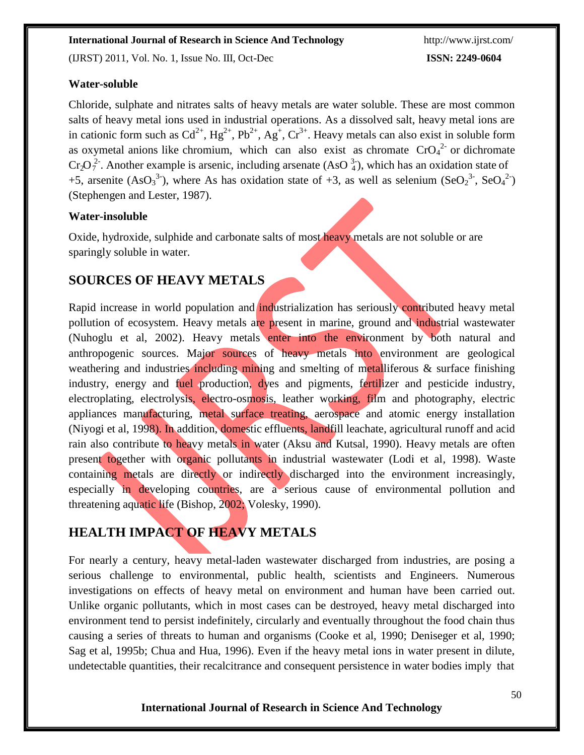(IJRST) 2011, Vol. No. 1, Issue No. III, Oct-Dec **ISSN: 2249-0604**

#### **Water-soluble**

 $Cr_2O_7^{2}$ . Another example is arsenic, including arsenate (AsO  $_4^3$ ), which has an oxidation state of Chloride, sulphate and nitrates salts of heavy metals are water soluble. These are most common salts of heavy metal ions used in industrial operations. As a dissolved salt, heavy metal ions are in cationic form such as  $Cd^{2+}$ ,  $Hg^{2+}$ ,  $Pb^{2+}$ ,  $Ag^+$ ,  $Cr^{3+}$ . Heavy metals can also exist in soluble form as oxymetal anions like chromium, which can also exist as chromate  $CrO<sub>4</sub><sup>2</sup>$  or dichromate +5, arsenite  $(AsO<sub>3</sub><sup>3</sup>)$ , where As has oxidation state of +3, as well as selenium  $(SeO<sub>2</sub><sup>3</sup>$ ,  $SeO<sub>4</sub><sup>2</sup>)$ (Stephengen and Lester, 1987).

#### **Water-insoluble**

Oxide, hydroxide, sulphide and carbonate salts of most heavy metals are not soluble or are sparingly soluble in water.

## **SOURCES OF HEAVY METALS**

Rapid increase in world population and industrialization has seriously contributed heavy metal pollution of ecosystem. Heavy metals are present in marine, ground and industrial wastewater (Nuhoglu et al, 2002). Heavy metals enter into the environment by both natural and anthropogenic sources. Major sources of heavy metals into environment are geological weathering and industries including mining and smelting of metalliferous  $\&$  surface finishing industry, energy and fuel production, dyes and pigments, fertilizer and pesticide industry, electroplating, electrolysis, electro-osmosis, leather working, film and photography, electric appliances manufacturing, metal surface treating, aerospace and atomic energy installation (Niyogi et al, 1998). In addition, domestic effluents, landfill leachate, agricultural runoff and acid rain also contribute to heavy metals in water (Aksu and Kutsal, 1990). Heavy metals are often present together with organic pollutants in industrial wastewater (Lodi et al*,* 1998). Waste containing metals are directly or indirectly discharged into the environment increasingly, especially in developing countries, are a serious cause of environmental pollution and threatening aquatic life (Bishop, 2002; Volesky, 1990).

## **HEALTH IMPACT OF HEAVY METALS**

For nearly a century, heavy metal-laden wastewater discharged from industries, are posing a serious challenge to environmental, public health, scientists and Engineers. Numerous investigations on effects of heavy metal on environment and human have been carried out. Unlike organic pollutants, which in most cases can be destroyed, heavy metal discharged into environment tend to persist indefinitely, circularly and eventually throughout the food chain thus causing a series of threats to human and organisms (Cooke et al, 1990; Deniseger et al, 1990; Sag et al, 1995b; Chua and Hua, 1996). Even if the heavy metal ions in water present in dilute, undetectable quantities, their recalcitrance and consequent persistence in water bodies imply that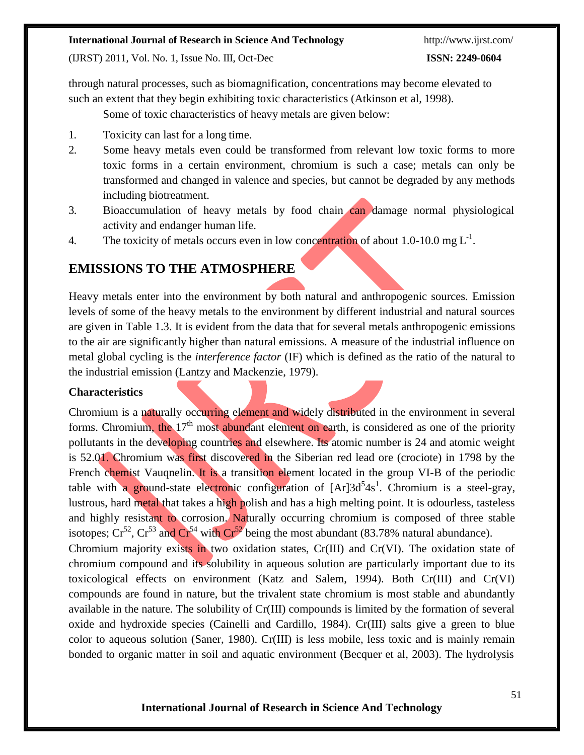(IJRST) 2011, Vol. No. 1, Issue No. III, Oct-Dec **ISSN: 2249-0604**

through natural processes, such as biomagnification, concentrations may become elevated to such an extent that they begin exhibiting toxic characteristics (Atkinson et al*,* 1998).

Some of toxic characteristics of heavy metals are given below:

- 1. Toxicity can last for a long time.
- 2. Some heavy metals even could be transformed from relevant low toxic forms to more toxic forms in a certain environment, chromium is such a case; metals can only be transformed and changed in valence and species, but cannot be degraded by any methods including biotreatment.
- 3. Bioaccumulation of heavy metals by food chain can damage normal physiological activity and endanger human life.
- 4. The toxicity of metals occurs even in low concentration of about 1.0-10.0 mg  $L^{-1}$ .

## **EMISSIONS TO THE ATMOSPHERE**

Heavy metals enter into the environment by both natural and anthropogenic sources. Emission levels of some of the heavy metals to the environment by different industrial and natural sources are given in Table 1.3. It is evident from the data that for several metals anthropogenic emissions to the air are significantly higher than natural emissions. A measure of the industrial influence on metal global cycling is the *interference factor* (IF) which is defined as the ratio of the natural to the industrial emission (Lantzy and Mackenzie, 1979).

### **Characteristics**

Chromium is a naturally occurring element and widely distributed in the environment in several forms. Chromium, the  $17<sup>th</sup>$  most abundant element on earth, is considered as one of the priority pollutants in the developing countries and elsewhere. Its atomic number is 24 and atomic weight is 52.01. Chromium was first discovered in the Siberian red lead ore (crociote) in 1798 by the French chemist Vauqnelin. It is a transition element located in the group VI-B of the periodic table with a ground-state electronic configuration of  $[Ar]3d<sup>5</sup>4s<sup>1</sup>$ . Chromium is a steel-gray, lustrous, hard metal that takes a high polish and has a high melting point. It is odourless, tasteless and highly resistant to corrosion. Naturally occurring chromium is composed of three stable isotopes;  $Cr^{52}$ ,  $Cr^{53}$  and  $Cr^{54}$  with  $Cr^{52}$  being the most abundant (83.78% natural abundance). Chromium majority exists in two oxidation states, Cr(III) and Cr(VI). The oxidation state of chromium compound and its solubility in aqueous solution are particularly important due to its toxicological effects on environment (Katz and Salem, 1994). Both Cr(III) and Cr(VI) compounds are found in nature, but the trivalent state chromium is most stable and abundantly available in the nature. The solubility of Cr(III) compounds is limited by the formation of several oxide and hydroxide species (Cainelli and Cardillo, 1984). Cr(III) salts give a green to blue color to aqueous solution (Saner, 1980). Cr(III) is less mobile, less toxic and is mainly remain bonded to organic matter in soil and aquatic environment (Becquer et al, 2003). The hydrolysis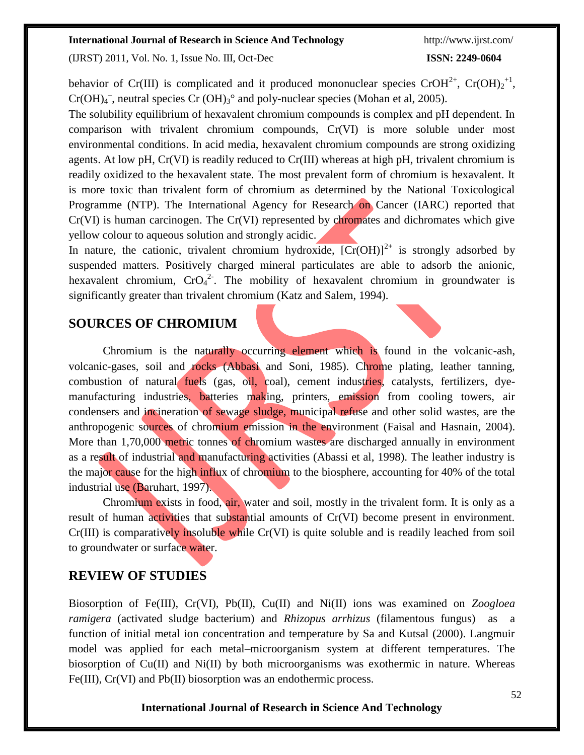(IJRST) 2011, Vol. No. 1, Issue No. III, Oct-Dec **ISSN: 2249-0604**

behavior of Cr(III) is complicated and it produced mononuclear species CrOH<sup>2+</sup>, Cr(OH)<sub>2</sub><sup>+1</sup>,  $Cr(OH)_4^-$ , neutral species  $Cr(OH)_3^{\circ}$  and poly-nuclear species (Mohan et al, 2005).

The solubility equilibrium of hexavalent chromium compounds is complex and pH dependent. In comparison with trivalent chromium compounds, Cr(VI) is more soluble under most environmental conditions. In acid media, hexavalent chromium compounds are strong oxidizing agents. At low pH, Cr(VI) is readily reduced to Cr(III) whereas at high pH, trivalent chromium is readily oxidized to the hexavalent state. The most prevalent form of chromium is hexavalent. It is more toxic than trivalent form of chromium as determined by the National Toxicological Programme (NTP). The International Agency for Research on Cancer (IARC) reported that Cr(VI) is human carcinogen. The Cr(VI) represented by chromates and dichromates which give yellow colour to aqueous solution and strongly acidic.

In nature, the cationic, trivalent chromium hydroxide,  $[Cr(OH)]^{2+}$  is strongly adsorbed by suspended matters. Positively charged mineral particulates are able to adsorb the anionic, hexavalent chromium,  $CrO<sub>4</sub><sup>2</sup>$ . The mobility of hexavalent chromium in groundwater is significantly greater than trivalent chromium (Katz and Salem, 1994).

## **SOURCES OF CHROMIUM**

Chromium is the naturally occurring element which is found in the volcanic-ash, volcanic-gases, soil and rocks (Abbasi and Soni, 1985). Chrome plating, leather tanning, combustion of natural fuels (gas, oil, coal), cement industries, catalysts, fertilizers, dyemanufacturing industries, batteries making, printers, emission from cooling towers, air condensers and incineration of sewage sludge, municipal refuse and other solid wastes, are the anthropogenic sources of chromium emission in the environment (Faisal and Hasnain, 2004). More than 1,70,000 metric tonnes of chromium wastes are discharged annually in environment as a result of industrial and manufacturing activities (Abassi et al, 1998). The leather industry is the major cause for the high influx of chromium to the biosphere, accounting for 40% of the total industrial use (Baruhart, 1997).

Chromium exists in food, air, water and soil, mostly in the trivalent form. It is only as a result of human activities that substantial amounts of Cr(VI) become present in environment. Cr(III) is comparatively insoluble while Cr(VI) is quite soluble and is readily leached from soil to groundwater or surface water.

## **REVIEW OF STUDIES**

Biosorption of Fe(III), Cr(VI), Pb(II), Cu(II) and Ni(II) ions was examined on *Zoogloea ramigera* (activated sludge bacterium) and *Rhizopus arrhizus* (filamentous fungus) as a function of initial metal ion concentration and temperature by Sa and Kutsal (2000). Langmuir model was applied for each metal–microorganism system at different temperatures. The biosorption of  $Cu(II)$  and  $Ni(II)$  by both microorganisms was exothermic in nature. Whereas Fe(III), Cr(VI) and Pb(II) biosorption was an endothermic process.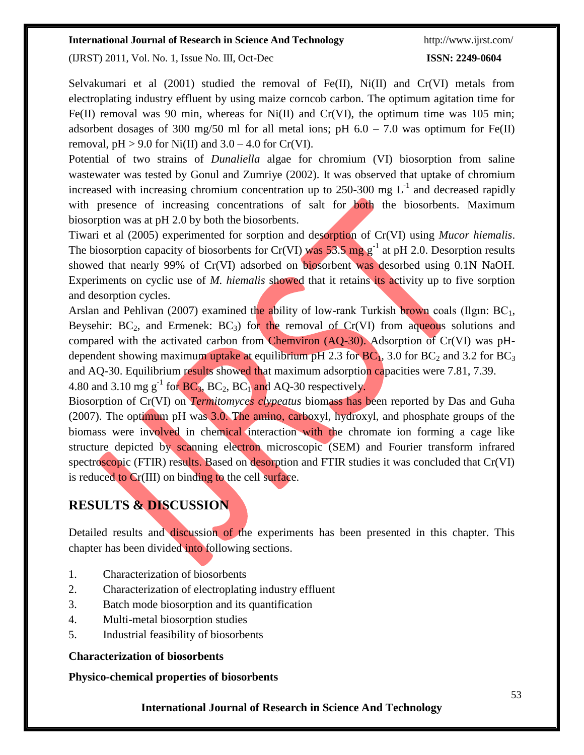(IJRST) 2011, Vol. No. 1, Issue No. III, Oct-Dec **ISSN: 2249-0604**

Selvakumari et al (2001) studied the removal of Fe(II), Ni(II) and Cr(VI) metals from electroplating industry effluent by using maize corncob carbon. The optimum agitation time for Fe(II) removal was 90 min, whereas for Ni(II) and Cr(VI), the optimum time was 105 min; adsorbent dosages of 300 mg/50 ml for all metal ions; pH  $6.0 - 7.0$  was optimum for Fe(II) removal,  $pH > 9.0$  for Ni(II) and  $3.0 - 4.0$  for Cr(VI).

Potential of two strains of *Dunaliella* algae for chromium (VI) biosorption from saline wastewater was tested by Gonul and Zumriye (2002). It was observed that uptake of chromium increased with increasing chromium concentration up to 250-300 mg  $L^{-1}$  and decreased rapidly with presence of increasing concentrations of salt for both the biosorbents. Maximum biosorption was at pH 2.0 by both the biosorbents.

Tiwari et al (2005) experimented for sorption and desorption of Cr(VI) using *Mucor hiemalis*. The biosorption capacity of biosorbents for Cr(VI) was 53.5 mg  $g^{-1}$  at pH 2.0. Desorption results showed that nearly 99% of Cr(VI) adsorbed on biosorbent was desorbed using 0.1N NaOH. Experiments on cyclic use of *M. hiemalis* showed that it retains its activity up to five sorption and desorption cycles.

Arslan and Pehlivan (2007) examined the ability of low-rank Turkish brown coals (Ilgin:  $BC<sub>1</sub>$ , Beysehir:  $BC_2$ , and Ermenek:  $BC_3$ ) for the removal of  $Cr(VI)$  from aqueous solutions and compared with the activated carbon from Chemviron (AQ-30). Adsorption of Cr(VI) was pHdependent showing maximum uptake at equilibrium pH 2.3 for  $BC<sub>1</sub>$ , 3.0 for  $BC<sub>2</sub>$  and 3.2 for  $BC<sub>3</sub>$ and AQ-30. Equilibrium results showed that maximum adsorption capacities were 7.81, 7.39.

4.80 and 3.10 mg  $g^{-1}$  for  $BC_3$ ,  $BC_2$ ,  $BC_1$  and  $AQ$ -30 respectively.

Biosorption of Cr(VI) on *Termitomyces clypeatus* biomass has been reported by Das and Guha (2007). The optimum pH was 3.0. The amino, carboxyl, hydroxyl, and phosphate groups of the biomass were involved in chemical interaction with the chromate ion forming a cage like structure depicted by scanning electron microscopic (SEM) and Fourier transform infrared spectroscopic (FTIR) results. Based on desorption and FTIR studies it was concluded that Cr(VI) is reduced to Cr(III) on binding to the cell surface.

## **RESULTS & DISCUSSION**

Detailed results and discussion of the experiments has been presented in this chapter. This chapter has been divided into following sections.

- 1. Characterization of biosorbents
- 2. Characterization of electroplating industry effluent
- 3. Batch mode biosorption and its quantification
- 4. Multi-metal biosorption studies
- 5. Industrial feasibility of biosorbents

#### **Characterization of biosorbents**

**Physico-chemical properties of biosorbents**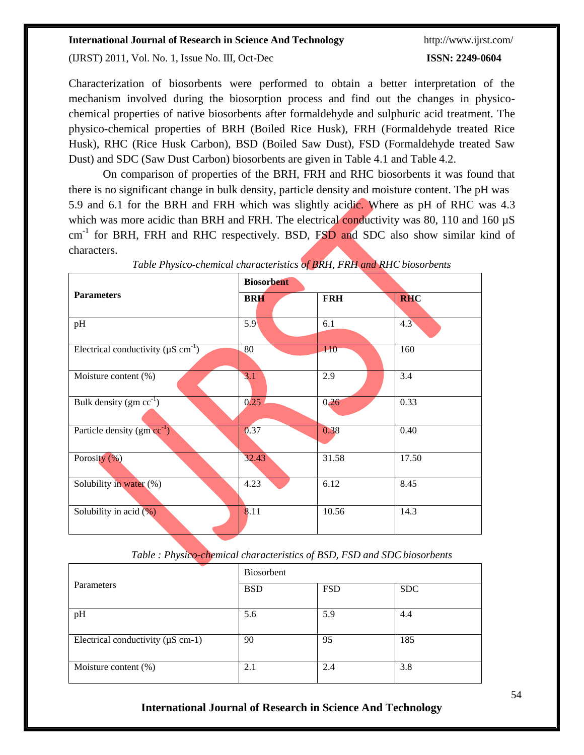(IJRST) 2011, Vol. No. 1, Issue No. III, Oct-Dec **ISSN: 2249-0604**

Characterization of biosorbents were performed to obtain a better interpretation of the mechanism involved during the biosorption process and find out the changes in physicochemical properties of native biosorbents after formaldehyde and sulphuric acid treatment. The physico-chemical properties of BRH (Boiled Rice Husk), FRH (Formaldehyde treated Rice Husk), RHC (Rice Husk Carbon), BSD (Boiled Saw Dust), FSD (Formaldehyde treated Saw Dust) and SDC (Saw Dust Carbon) biosorbents are given in Table 4.1 and Table 4.2.

On comparison of properties of the BRH, FRH and RHC biosorbents it was found that there is no significant change in bulk density, particle density and moisture content. The pH was 5.9 and 6.1 for the BRH and FRH which was slightly acidic. Where as pH of RHC was 4.3 which was more acidic than BRH and FRH. The electrical conductivity was 80, 110 and 160  $\mu$ S cm<sup>-1</sup> for BRH, FRH and RHC respectively. BSD, FSD and SDC also show similar kind of characters.

|                                                      | <b>Biosorbent</b> |            |            |
|------------------------------------------------------|-------------------|------------|------------|
| <b>Parameters</b>                                    | <b>BRH</b>        | <b>FRH</b> | <b>RHC</b> |
| pH                                                   | 5.9               | 6.1        | 4.3        |
| Electrical conductivity ( $\mu$ S cm <sup>-1</sup> ) | 80                | 110        | 160        |
| Moisture content (%)                                 | 3.1               | 2.9        | 3.4        |
| Bulk density $(gm cc^{-1})$                          | 0.25              | 0,26       | 0.33       |
| Particle density $(gm cc^{-1})$                      | 0.37              | 0.38       | 0.40       |
| Porosity $(\% )$                                     | 32.43             | 31.58      | 17.50      |
| Solubility in water (%)                              | 4.23              | 6.12       | 8.45       |
| Solubility in acid $(\%)$                            | 8.11              | 10.56      | 14.3       |

*Table Physico-chemical characteristics of BRH, FRH and RHC biosorbents*

*Table : Physico-chemical characteristics of BSD, FSD and SDCbiosorbents*

| Parameters                              | Biosorbent |            |            |
|-----------------------------------------|------------|------------|------------|
|                                         | <b>BSD</b> | <b>FSD</b> | <b>SDC</b> |
| pH                                      | 5.6        | 5.9        | 4.4        |
| Electrical conductivity ( $\mu$ S cm-1) | 90         | 95         | 185        |
| Moisture content $(\%)$                 | 2.1        | 2.4        | 3.8        |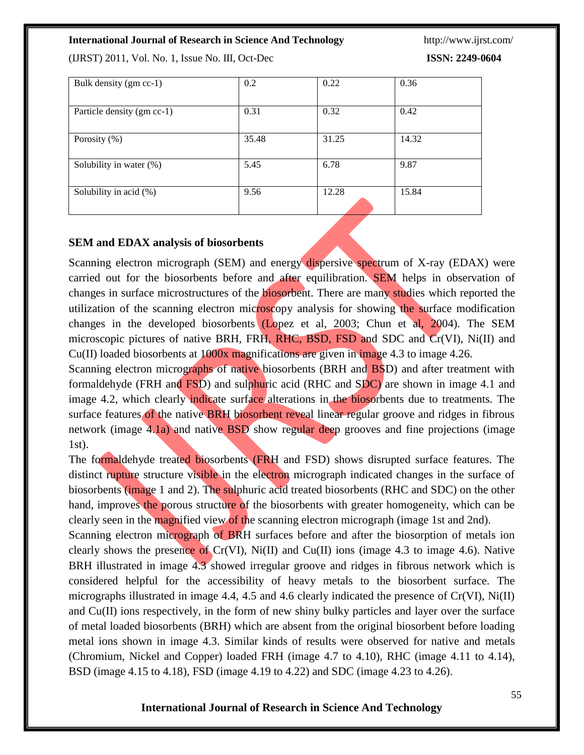(IJRST) 2011, Vol. No. 1, Issue No. III, Oct-Dec **ISSN: 2249-0604**

| Bulk density (gm cc-1)     | 0.2   | 0.22  | 0.36  |
|----------------------------|-------|-------|-------|
| Particle density (gm cc-1) | 0.31  | 0.32  | 0.42  |
| Porosity $(\% )$           | 35.48 | 31.25 | 14.32 |
| Solubility in water $(\%)$ | 5.45  | 6.78  | 9.87  |
| Solubility in acid (%)     | 9.56  | 12.28 | 15.84 |

#### **SEM and EDAX analysis of biosorbents**

Scanning electron micrograph (SEM) and energy dispersive spectrum of X-ray (EDAX) were carried out for the biosorbents before and after equilibration. SEM helps in observation of changes in surface microstructures of the biosorbent. There are many studies which reported the utilization of the scanning electron microscopy analysis for showing the surface modification changes in the developed biosorbents (Lopez et al, 2003; Chun et al, 2004). The SEM microscopic pictures of native BRH, FRH, RHC, BSD, FSD and SDC and Cr(VI), Ni(II) and Cu(II) loaded biosorbents at 1000x magnifications are given in image 4.3 to image 4.26.

Scanning electron micrographs of native biosorbents (BRH and BSD) and after treatment with formaldehyde (FRH and FSD) and sulphuric acid (RHC and SDC) are shown in image 4.1 and image 4.2, which clearly indicate surface alterations in the biosorbents due to treatments. The surface features of the native BRH biosorbent reveal linear regular groove and ridges in fibrous network (image 4.1a) and native BSD show regular deep grooves and fine projections (image 1st).

The formaldehyde treated biosorbents (FRH and FSD) shows disrupted surface features. The distinct rupture structure visible in the electron micrograph indicated changes in the surface of biosorbents (image 1 and 2). The sulphuric acid treated biosorbents (RHC and SDC) on the other hand, improves the porous structure of the biosorbents with greater homogeneity, which can be clearly seen in the magnified view of the scanning electron micrograph (image 1st and 2nd).

Scanning electron micrograph of BRH surfaces before and after the biosorption of metals ion clearly shows the presence of  $Cr(VI)$ ,  $Ni(II)$  and  $Cu(II)$  ions (image 4.3 to image 4.6). Native BRH illustrated in image 4.3 showed irregular groove and ridges in fibrous network which is considered helpful for the accessibility of heavy metals to the biosorbent surface. The micrographs illustrated in image 4.4, 4.5 and 4.6 clearly indicated the presence of Cr(VI), Ni(II) and Cu(II) ions respectively, in the form of new shiny bulky particles and layer over the surface of metal loaded biosorbents (BRH) which are absent from the original biosorbent before loading metal ions shown in image 4.3. Similar kinds of results were observed for native and metals (Chromium, Nickel and Copper) loaded FRH (image 4.7 to 4.10), RHC (image 4.11 to 4.14), BSD (image 4.15 to 4.18), FSD (image 4.19 to 4.22) and SDC (image 4.23 to 4.26).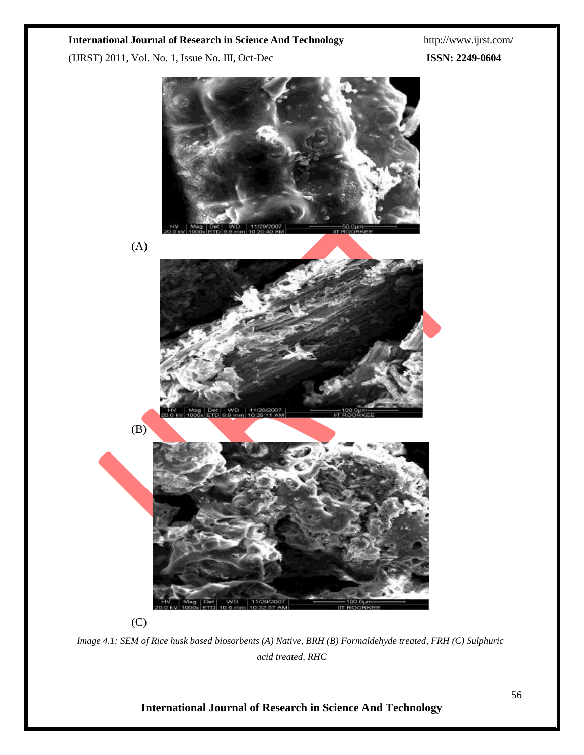(IJRST) 2011, Vol. No. 1, Issue No. III, Oct-Dec **ISSN: 2249-0604**



*Image 4.1: SEM of Rice husk based biosorbents (A) Native, BRH (B) Formaldehyde treated, FRH (C) Sulphuric acid treated, RHC*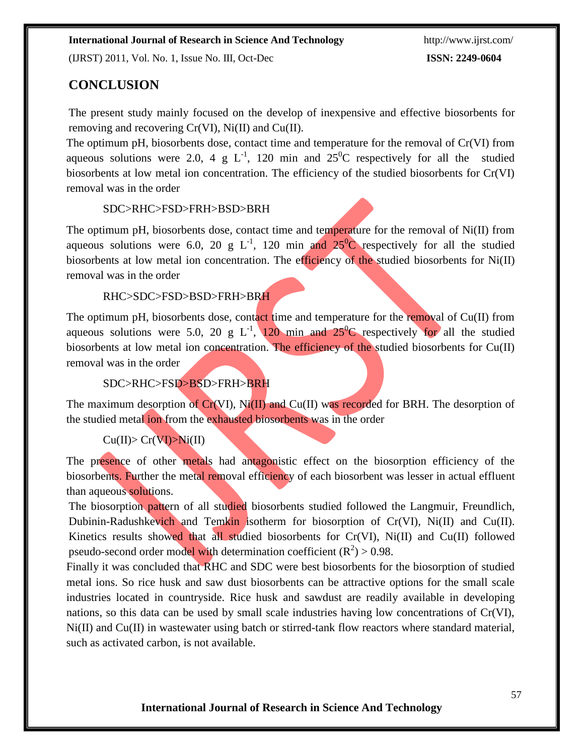(IJRST) 2011, Vol. No. 1, Issue No. III, Oct-Dec **ISSN: 2249-0604**

## **CONCLUSION**

The present study mainly focused on the develop of inexpensive and effective biosorbents for removing and recovering Cr(VI), Ni(II) and Cu(II).

The optimum pH, biosorbents dose, contact time and temperature for the removal of Cr(VI) from aqueous solutions were 2.0, 4 g  $L^{-1}$ , 120 min and  $25^{\circ}$ C respectively for all the studied biosorbents at low metal ion concentration. The efficiency of the studied biosorbents for Cr(VI) removal was in the order

SDC>RHC>FSD>FRH>BSD>BRH

The optimum pH, biosorbents dose, contact time and temperature for the removal of Ni(II) from aqueous solutions were 6.0, 20 g  $L^{-1}$ , 120 min and  $25^0C$  respectively for all the studied biosorbents at low metal ion concentration. The efficiency of the studied biosorbents for Ni(II) removal was in the order

#### RHC>SDC>FSD>BSD>FRH>BRH

The optimum pH, biosorbents dose, contact time and temperature for the removal of Cu(II) from aqueous solutions were 5.0, 20 g  $L^{-1}$ , 120 min and 25<sup>0</sup>C respectively for all the studied biosorbents at low metal ion concentration. The efficiency of the studied biosorbents for Cu(II) removal was in the order

#### SDC>RHC>FSD>BSD>FRH>BRH

The maximum desorption of  $Cr(VI)$ ,  $Ni(II)$  and  $Cu(II)$  was recorded for BRH. The desorption of the studied metal ion from the exhausted biosorbents was in the order

## $Cu(II)$ > $Cr(VI)$ > $Ni(II)$

The presence of other metals had antagonistic effect on the biosorption efficiency of the biosorbents. Further the metal removal efficiency of each biosorbent was lesser in actual effluent than aqueous solutions.

The biosorption pattern of all studied biosorbents studied followed the Langmuir, Freundlich, Dubinin-Radushkevich and Temkin isotherm for biosorption of Cr(VI), Ni(II) and Cu(II). Kinetics results showed that all studied biosorbents for Cr(VI), Ni(II) and Cu(II) followed pseudo-second order model with determination coefficient  $(R^2) > 0.98$ .

Finally it was concluded that RHC and SDC were best biosorbents for the biosorption of studied metal ions. So rice husk and saw dust biosorbents can be attractive options for the small scale industries located in countryside. Rice husk and sawdust are readily available in developing nations, so this data can be used by small scale industries having low concentrations of Cr(VI), Ni(II) and Cu(II) in wastewater using batch or stirred-tank flow reactors where standard material, such as activated carbon, is not available.

57